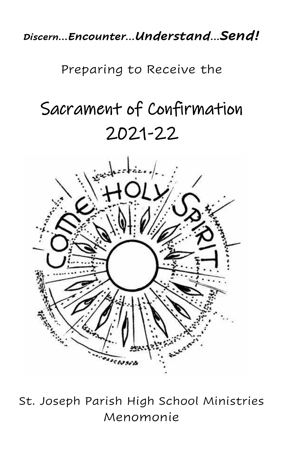*Discern…Encounter…Understand…Send!*

Preparing to Receive the

# Sacrament of Confirmation 2021-22



St. Joseph Parish High School Ministries Menomonie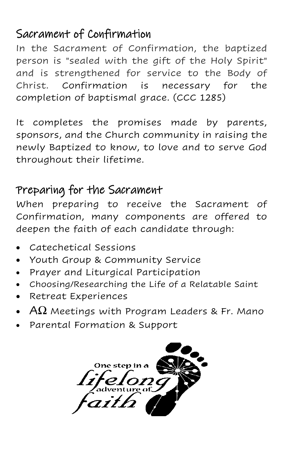#### Sacrament of Confirmation

In the Sacrament of Confirmation, the baptized person is "sealed with the gift of the Holy Spirit" and is strengthened for service to the Body of Christ. Confirmation is necessary for the completion of baptismal grace. (CCC 1285)

It completes the promises made by parents, sponsors, and the Church community in raising the newly Baptized to know, to love and to serve God throughout their lifetime.

### Preparing for the Sacrament

When preparing to receive the Sacrament of Confirmation, many components are offered to deepen the faith of each candidate through:

- Catechetical Sessions
- Youth Group & Community Service
- Prayer and Liturgical Participation
- Choosing/Researching the Life of a Relatable Saint
- Retreat Experiences
- $A\Omega$  Meetings with Program Leaders & Fr. Mano
- Parental Formation & Support

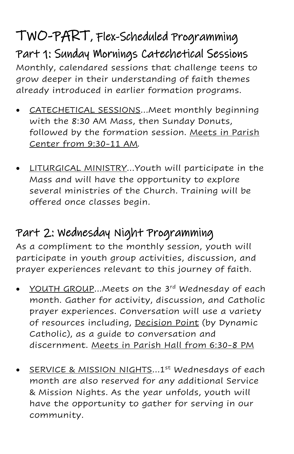### TWO-PART, Flex-Scheduled Programming Part 1: Sunday Mornings Catechetical Sessions

Monthly, calendared sessions that challenge teens to grow deeper in their understanding of faith themes already introduced in earlier formation programs.

- CATECHETICAL SESSIONS…Meet monthly beginning with the 8:30 AM Mass, then Sunday Donuts, followed by the formation session. Meets in Parish Center from 9:30-11 AM*.*
- LITURGICAL MINISTRY…Youth will participate in the Mass and will have the opportunity to explore several ministries of the Church. Training will be offered once classes begin.

### Part 2: Wednesday Night Programming

As a compliment to the monthly session, youth will participate in youth group activities, discussion, and prayer experiences relevant to this journey of faith.

- YOUTH GROUP...Meets on the 3<sup>rd</sup> Wednesday of each month. Gather for activity, discussion, and Catholic prayer experiences. Conversation will use a variety of resources including, Decision Point (by Dynamic Catholic), as a guide to conversation and discernment. Meets in Parish Hall from 6:30-8 PM
- SERVICE & MISSION NIGHTS...1<sup>st</sup> Wednesdays of each month are also reserved for any additional Service & Mission Nights. As the year unfolds, youth will have the opportunity to gather for serving in our community.